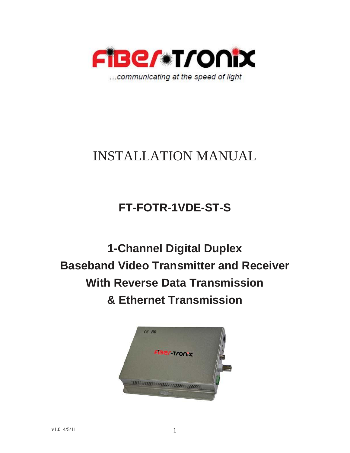

# INSTALLATION MANUAL

## **FT-FOTR-1VDE-ST-S**

**1-Channel Digital Duplex Baseband Video Transmitter and Receiver With Reverse Data Transmission & Ethernet Transmission**

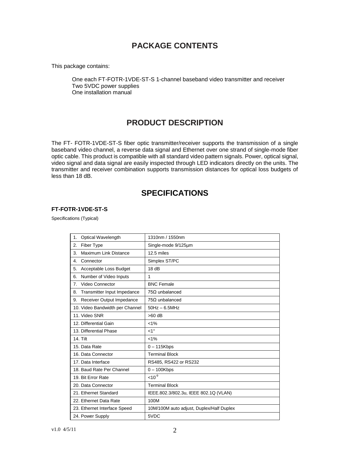## **PACKAGE CONTENTS**

This package contains:

One each FT-FOTR-1VDE-ST-S 1-channel baseband video transmitter and receiver Two 5VDC power supplies One installation manual

## **PRODUCT DESCRIPTION**

The FT- FOTR-1VDE-ST-S fiber optic transmitter/receiver supports the transmission of a single baseband video channel, a reverse data signal and Ethernet over one strand of single-mode fiber optic cable. This product is compatible with all standard video pattern signals. Power, optical signal, video signal and data signal are easily inspected through LED indicators directly on the units. The transmitter and receiver combination supports transmission distances for optical loss budgets of less than 18 dB.

### **SPECIFICATIONS**

#### **FT-FOTR-1VDE-ST-S**

Specifications (Typical)

| Optical Wavelength<br>1.            | 1310nm / 1550nm                          |
|-------------------------------------|------------------------------------------|
| Fiber Type<br>2.                    | Single-mode 9/125um                      |
| Maximum Link Distance<br>3.         | 12.5 miles                               |
| Connector<br>4.                     | Simplex ST/PC                            |
| Acceptable Loss Budget<br>5.        | 18dB                                     |
| Number of Video Inputs<br>6.        | 1                                        |
| Video Connector<br>$\overline{7}$ . | <b>BNC Female</b>                        |
| Transmitter Input Impedance<br>8.   | $75\Omega$ unbalanced                    |
| Receiver Output Impedance<br>9.     | $75\Omega$ unbalanced                    |
| 10. Video Bandwidth per Channel     | $50Hz - 6.5MHz$                          |
| 11. Video SNR                       | $>60$ dB                                 |
| 12. Differential Gain               | $< 1\%$                                  |
| 13. Differential Phase              | $1^{\circ}$                              |
| <b>14. Tilt</b>                     | $< 1\%$                                  |
| 15. Data Rate                       | $0 - 115Kbps$                            |
| 16. Data Connector                  | <b>Terminal Block</b>                    |
| 17. Data Interface                  | RS485, RS422 or RS232                    |
| 18. Baud Rate Per Channel           | $0 - 100$ Kbps                           |
| 19. Bit Error Rate                  | $10^{-9}$                                |
| 20. Data Connector                  | <b>Terminal Block</b>                    |
| 21. Ethernet Standard               | IEEE.802.3/802.3u, IEEE 802.1Q (VLAN)    |
| 22. Ethernet Data Rate              | 100M                                     |
| 23. Ethernet Interface Speed        | 10M/100M auto adjust, Duplex/Half Duplex |
| 24. Power Supply                    | 5VDC                                     |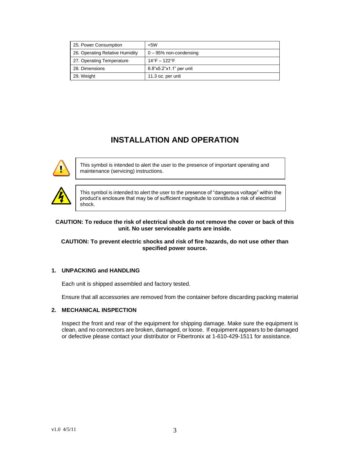| 25. Power Consumption           | $<$ 5W                   |
|---------------------------------|--------------------------|
| 26. Operating Relative Humidity | $0 - 95%$ non-condensing |
| 27. Operating Temperature       | 14°F – 122°F             |
| 28. Dimensions                  | 6.8"x5.2"x1.1" per unit  |
| 29. Weight                      | 11.3 oz. per unit        |

## **INSTALLATION AND OPERATION**



This symbol is intended to alert the user to the presence of important operating and maintenance (servicing) instructions.



This symbol is intended to alert the user to the presence of "dangerous voltage" within the product's enclosure that may be of sufficient magnitude to constitute a risk of electrical shock.

#### **CAUTION: To reduce the risk of electrical shock do not remove the cover or back of this unit. No user serviceable parts are inside.**

#### **CAUTION: To prevent electric shocks and risk of fire hazards, do not use other than specified power source.**

#### **1. UNPACKING and HANDLING**

Each unit is shipped assembled and factory tested.

Ensure that all accessories are removed from the container before discarding packing material

#### **2. MECHANICAL INSPECTION**

Inspect the front and rear of the equipment for shipping damage. Make sure the equipment is clean, and no connectors are broken, damaged, or loose. If equipment appears to be damaged or defective please contact your distributor or Fibertronix at 1-610-429-1511 for assistance.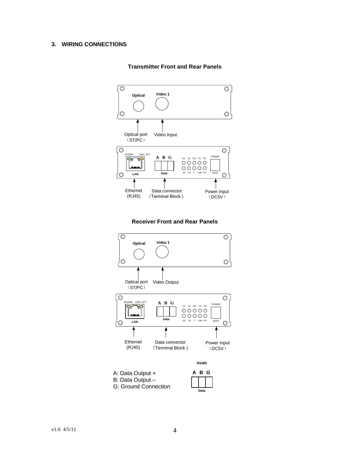#### **3. WIRING CONNECTIONS**



#### **Transmitter Front and Rear Panels**



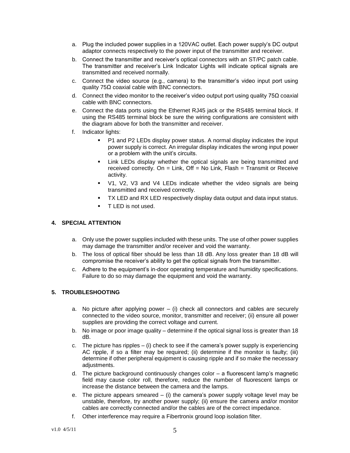- a. Plug the included power supplies in a 120VAC outlet. Each power supply's DC output adaptor connects respectively to the power input of the transmitter and receiver.
- b. Connect the transmitter and receiver's optical connectors with an ST/PC patch cable. The transmitter and receiver's Link Indicator Lights will indicate optical signals are transmitted and received normally.
- c. Connect the video source (e.g., camera) to the transmitter's video input port using quality 75Ω coaxial cable with BNC connectors.
- d. Connect the video monitor to the receiver's video output port using quality 75Ω coaxial cable with BNC connectors.
- e. Connect the data ports using the Ethernet RJ45 jack or the RS485 terminal block. If using the RS485 terminal block be sure the wiring configurations are consistent with the diagram above for both the transmitter and receiver.
- f. Indicator lights:
	- P1 and P2 LEDs display power status. A normal display indicates the input power supply is correct. An irregular display indicates the wrong input power or a problem with the unit's circuits.
	- Link LEDs display whether the optical signals are being transmitted and received correctly. On = Link, Off = No Link, Flash = Transmit or Receive activity.
	- V1, V2, V3 and V4 LEDs indicate whether the video signals are being transmitted and received correctly.
	- TX LED and RX LED respectively display data output and data input status.
	- **TLED** is not used.

#### **4. SPECIAL ATTENTION**

- a. Only use the power supplies included with these units. The use of other power supplies may damage the transmitter and/or receiver and void the warranty.
- b. The loss of optical fiber should be less than 18 dB. Any loss greater than 18 dB will compromise the receiver's ability to get the optical signals from the transmitter.
- c. Adhere to the equipment's in-door operating temperature and humidity specifications. Failure to do so may damage the equipment and void the warranty.

#### **5. TROUBLESHOOTING**

- a. No picture after applying power  $-$  (i) check all connectors and cables are securely connected to the video source, monitor, transmitter and receiver; (ii) ensure all power supplies are providing the correct voltage and current.
- b. No image or poor image quality determine if the optical signal loss is greater than 18 dB.
- c. The picture has ripples (i) check to see if the camera's power supply is experiencing AC ripple, if so a filter may be required; (ii) determine if the monitor is faulty; (iii) determine if other peripheral equipment is causing ripple and if so make the necessary adjustments.
- d. The picture background continuously changes color a fluorescent lamp's magnetic field may cause color roll, therefore, reduce the number of fluorescent lamps or increase the distance between the camera and the lamps.
- e. The picture appears smeared  $-$  (i) the camera's power supply voltage level may be unstable, therefore, try another power supply; (ii) ensure the camera and/or monitor cables are correctly connected and/or the cables are of the correct impedance.
- f. Other interference may require a Fibertronix ground loop isolation filter.